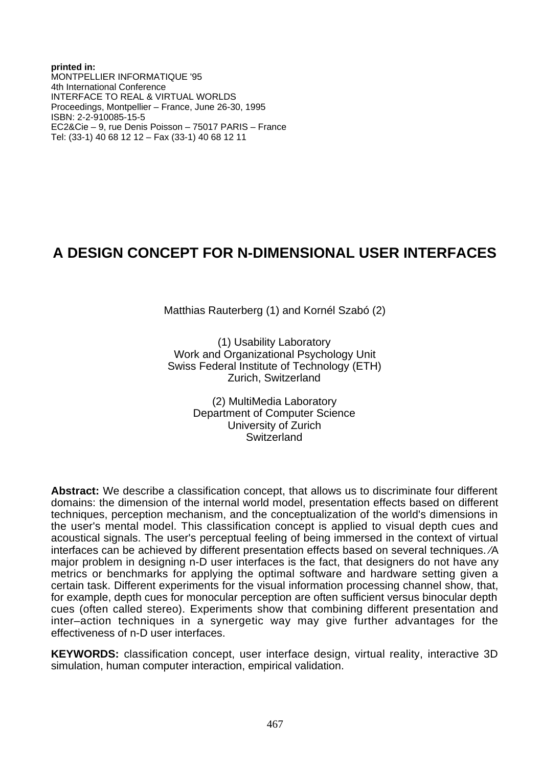**printed in:** MONTPELLIER INFORMATIQUE '95 4th International Conference INTERFACE TO REAL & VIRTUAL WORLDS Proceedings, Montpellier – France, June 26-30, 1995 ISBN: 2-2-910085-15-5 EC2&Cie – 9, rue Denis Poisson – 75017 PARIS – France Tel: (33-1) 40 68 12 12 – Fax (33-1) 40 68 12 11

# **A DESIGN CONCEPT FOR N-DIMENSIONAL USER INTERFACES**

Matthias Rauterberg (1) and Kornél Szabó (2)

(1) Usability Laboratory Work and Organizational Psychology Unit Swiss Federal Institute of Technology (ETH) Zurich, Switzerland

> (2) MultiMedia Laboratory Department of Computer Science University of Zurich **Switzerland**

**Abstract:** We describe a classification concept, that allows us to discriminate four different domains: the dimension of the internal world model, presentation effects based on different techniques, perception mechanism, and the conceptualization of the world's dimensions in the user's mental model. This classification concept is applied to visual depth cues and acoustical signals. The user's perceptual feeling of being immersed in the context of virtual interfaces can be achieved by different presentation effects based on several techniques. ⁄A major problem in designing n-D user interfaces is the fact, that designers do not have any metrics or benchmarks for applying the optimal software and hardware setting given a certain task. Different experiments for the visual information processing channel show, that, for example, depth cues for monocular perception are often sufficient versus binocular depth cues (often called stereo). Experiments show that combining different presentation and inter–action techniques in a synergetic way may give further advantages for the effectiveness of n-D user interfaces.

**KEYWORDS:** classification concept, user interface design, virtual reality, interactive 3D simulation, human computer interaction, empirical validation.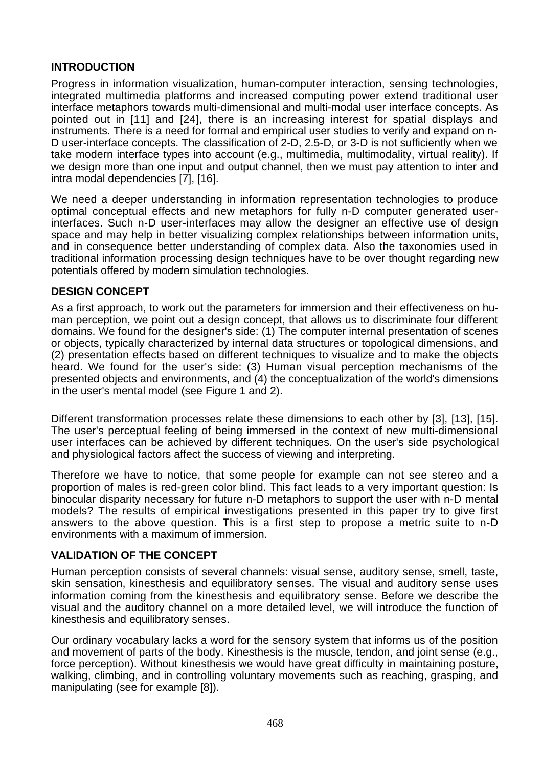# **INTRODUCTION**

Progress in information visualization, human-computer interaction, sensing technologies, integrated multimedia platforms and increased computing power extend traditional user interface metaphors towards multi-dimensional and multi-modal user interface concepts. As pointed out in [11] and [24], there is an increasing interest for spatial displays and instruments. There is a need for formal and empirical user studies to verify and expand on n-D user-interface concepts. The classification of 2-D, 2.5-D, or 3-D is not sufficiently when we take modern interface types into account (e.g., multimedia, multimodality, virtual reality). If we design more than one input and output channel, then we must pay attention to inter and intra modal dependencies [7], [16].

We need a deeper understanding in information representation technologies to produce optimal conceptual effects and new metaphors for fully n-D computer generated userinterfaces. Such n-D user-interfaces may allow the designer an effective use of design space and may help in better visualizing complex relationships between information units, and in consequence better understanding of complex data. Also the taxonomies used in traditional information processing design techniques have to be over thought regarding new potentials offered by modern simulation technologies.

# **DESIGN CONCEPT**

As a first approach, to work out the parameters for immersion and their effectiveness on human perception, we point out a design concept, that allows us to discriminate four different domains. We found for the designer's side: (1) The computer internal presentation of scenes or objects, typically characterized by internal data structures or topological dimensions, and (2) presentation effects based on different techniques to visualize and to make the objects heard. We found for the user's side: (3) Human visual perception mechanisms of the presented objects and environments, and (4) the conceptualization of the world's dimensions in the user's mental model (see Figure 1 and 2).

Different transformation processes relate these dimensions to each other by [3], [13], [15]. The user's perceptual feeling of being immersed in the context of new multi-dimensional user interfaces can be achieved by different techniques. On the user's side psychological and physiological factors affect the success of viewing and interpreting.

Therefore we have to notice, that some people for example can not see stereo and a proportion of males is red-green color blind. This fact leads to a very important question: Is binocular disparity necessary for future n-D metaphors to support the user with n-D mental models? The results of empirical investigations presented in this paper try to give first answers to the above question. This is a first step to propose a metric suite to n-D environments with a maximum of immersion.

## **VALIDATION OF THE CONCEPT**

Human perception consists of several channels: visual sense, auditory sense, smell, taste, skin sensation, kinesthesis and equilibratory senses. The visual and auditory sense uses information coming from the kinesthesis and equilibratory sense. Before we describe the visual and the auditory channel on a more detailed level, we will introduce the function of kinesthesis and equilibratory senses.

Our ordinary vocabulary lacks a word for the sensory system that informs us of the position and movement of parts of the body. Kinesthesis is the muscle, tendon, and joint sense (e.g., force perception). Without kinesthesis we would have great difficulty in maintaining posture, walking, climbing, and in controlling voluntary movements such as reaching, grasping, and manipulating (see for example [8]).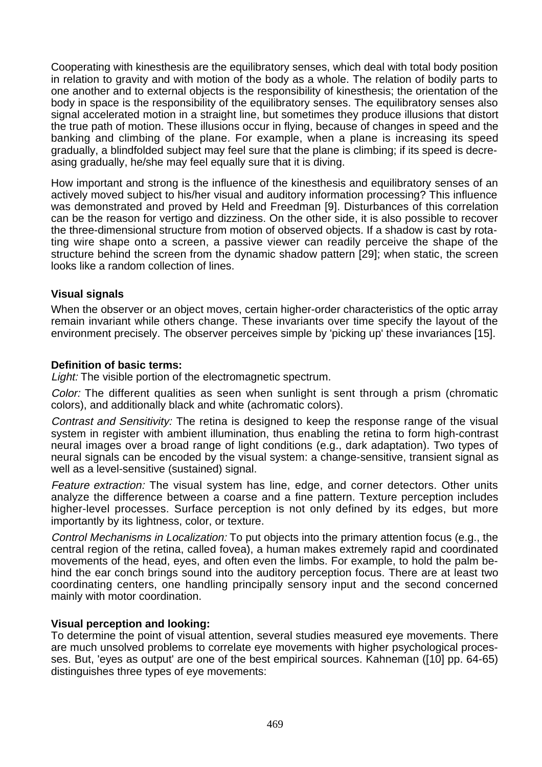Cooperating with kinesthesis are the equilibratory senses, which deal with total body position in relation to gravity and with motion of the body as a whole. The relation of bodily parts to one another and to external objects is the responsibility of kinesthesis; the orientation of the body in space is the responsibility of the equilibratory senses. The equilibratory senses also signal accelerated motion in a straight line, but sometimes they produce illusions that distort the true path of motion. These illusions occur in flying, because of changes in speed and the banking and climbing of the plane. For example, when a plane is increasing its speed gradually, a blindfolded subject may feel sure that the plane is climbing; if its speed is decreasing gradually, he/she may feel equally sure that it is diving.

How important and strong is the influence of the kinesthesis and equilibratory senses of an actively moved subject to his/her visual and auditory information processing? This influence was demonstrated and proved by Held and Freedman [9]. Disturbances of this correlation can be the reason for vertigo and dizziness. On the other side, it is also possible to recover the three-dimensional structure from motion of observed objects. If a shadow is cast by rotating wire shape onto a screen, a passive viewer can readily perceive the shape of the structure behind the screen from the dynamic shadow pattern [29]; when static, the screen looks like a random collection of lines.

## **Visual signals**

When the observer or an object moves, certain higher-order characteristics of the optic array remain invariant while others change. These invariants over time specify the layout of the environment precisely. The observer perceives simple by 'picking up' these invariances [15].

#### **Definition of basic terms:**

Light: The visible portion of the electromagnetic spectrum.

Color: The different qualities as seen when sunlight is sent through a prism (chromatic colors), and additionally black and white (achromatic colors).

Contrast and Sensitivity: The retina is designed to keep the response range of the visual system in register with ambient illumination, thus enabling the retina to form high-contrast neural images over a broad range of light conditions (e.g., dark adaptation). Two types of neural signals can be encoded by the visual system: a change-sensitive, transient signal as well as a level-sensitive (sustained) signal.

Feature extraction: The visual system has line, edge, and corner detectors. Other units analyze the difference between a coarse and a fine pattern. Texture perception includes higher-level processes. Surface perception is not only defined by its edges, but more importantly by its lightness, color, or texture.

Control Mechanisms in Localization: To put objects into the primary attention focus (e.g., the central region of the retina, called fovea), a human makes extremely rapid and coordinated movements of the head, eyes, and often even the limbs. For example, to hold the palm behind the ear conch brings sound into the auditory perception focus. There are at least two coordinating centers, one handling principally sensory input and the second concerned mainly with motor coordination.

#### **Visual perception and looking:**

To determine the point of visual attention, several studies measured eye movements. There are much unsolved problems to correlate eye movements with higher psychological processes. But, 'eyes as output' are one of the best empirical sources. Kahneman ([10] pp. 64-65) distinguishes three types of eye movements: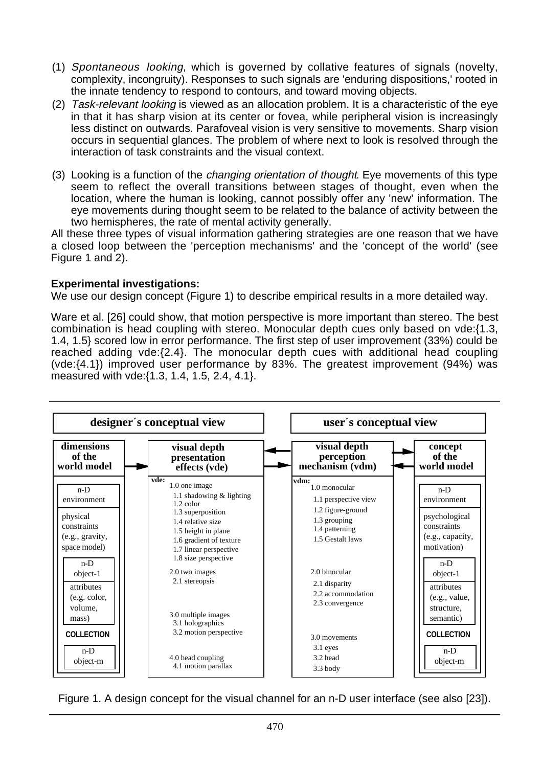- (1) Spontaneous looking, which is governed by collative features of signals (novelty, complexity, incongruity). Responses to such signals are 'enduring dispositions,' rooted in the innate tendency to respond to contours, and toward moving objects.
- (2) Task-relevant looking is viewed as an allocation problem. It is a characteristic of the eye in that it has sharp vision at its center or fovea, while peripheral vision is increasingly less distinct on outwards. Parafoveal vision is very sensitive to movements. Sharp vision occurs in sequential glances. The problem of where next to look is resolved through the interaction of task constraints and the visual context.
- (3) Looking is a function of the changing orientation of thought. Eye movements of this type seem to reflect the overall transitions between stages of thought, even when the location, where the human is looking, cannot possibly offer any 'new' information. The eye movements during thought seem to be related to the balance of activity between the two hemispheres, the rate of mental activity generally.

All these three types of visual information gathering strategies are one reason that we have a closed loop between the 'perception mechanisms' and the 'concept of the world' (see Figure 1 and 2).

# **Experimental investigations:**

We use our design concept (Figure 1) to describe empirical results in a more detailed way.

Ware et al. [26] could show, that motion perspective is more important than stereo. The best combination is head coupling with stereo. Monocular depth cues only based on vde:{1.3, 1.4, 1.5} scored low in error performance. The first step of user improvement (33%) could be reached adding vde:{2.4}. The monocular depth cues with additional head coupling (vde:{4.1}) improved user performance by 83%. The greatest improvement (94%) was measured with vde:{1.3, 1.4, 1.5, 2.4, 4.1}.



Figure 1. A design concept for the visual channel for an n-D user interface (see also [23]).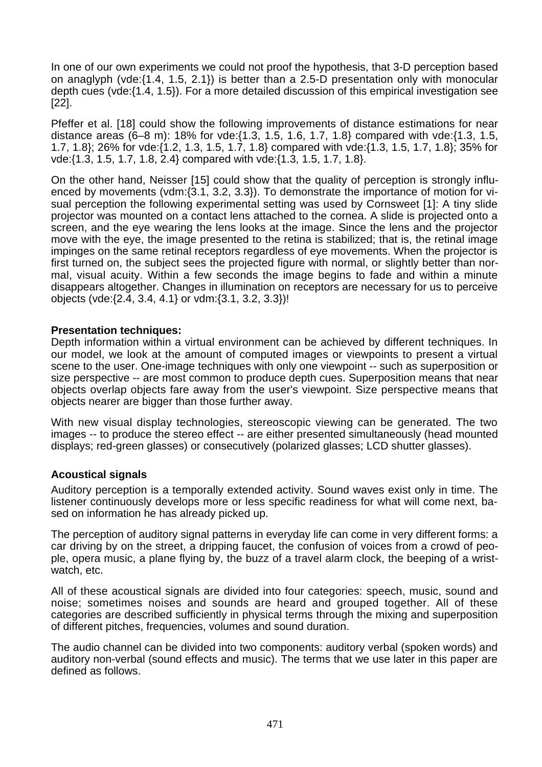In one of our own experiments we could not proof the hypothesis, that 3-D perception based on anaglyph (vde:{1.4, 1.5, 2.1}) is better than a 2.5-D presentation only with monocular depth cues (vde:{1.4, 1.5}). For a more detailed discussion of this empirical investigation see [22].

Pfeffer et al. [18] could show the following improvements of distance estimations for near distance areas (6–8 m): 18% for vde:{1.3, 1.5, 1.6, 1.7, 1.8} compared with vde:{1.3, 1.5, 1.7, 1.8}; 26% for vde:{1.2, 1.3, 1.5, 1.7, 1.8} compared with vde:{1.3, 1.5, 1.7, 1.8}; 35% for vde:{1.3, 1.5, 1.7, 1.8, 2.4} compared with vde:{1.3, 1.5, 1.7, 1.8}.

On the other hand, Neisser [15] could show that the quality of perception is strongly influenced by movements (vdm:{3.1, 3.2, 3.3}). To demonstrate the importance of motion for visual perception the following experimental setting was used by Cornsweet [1]: A tiny slide projector was mounted on a contact lens attached to the cornea. A slide is projected onto a screen, and the eye wearing the lens looks at the image. Since the lens and the projector move with the eye, the image presented to the retina is stabilized; that is, the retinal image impinges on the same retinal receptors regardless of eye movements. When the projector is first turned on, the subject sees the projected figure with normal, or slightly better than normal, visual acuity. Within a few seconds the image begins to fade and within a minute disappears altogether. Changes in illumination on receptors are necessary for us to perceive objects (vde:{2.4, 3.4, 4.1} or vdm:{3.1, 3.2, 3.3})!

#### **Presentation techniques:**

Depth information within a virtual environment can be achieved by different techniques. In our model, we look at the amount of computed images or viewpoints to present a virtual scene to the user. One-image techniques with only one viewpoint -- such as superposition or size perspective -- are most common to produce depth cues. Superposition means that near objects overlap objects fare away from the user's viewpoint. Size perspective means that objects nearer are bigger than those further away.

With new visual display technologies, stereoscopic viewing can be generated. The two images -- to produce the stereo effect -- are either presented simultaneously (head mounted displays; red-green glasses) or consecutively (polarized glasses; LCD shutter glasses).

## **Acoustical signals**

Auditory perception is a temporally extended activity. Sound waves exist only in time. The listener continuously develops more or less specific readiness for what will come next, based on information he has already picked up.

The perception of auditory signal patterns in everyday life can come in very different forms: a car driving by on the street, a dripping faucet, the confusion of voices from a crowd of people, opera music, a plane flying by, the buzz of a travel alarm clock, the beeping of a wristwatch, etc.

All of these acoustical signals are divided into four categories: speech, music, sound and noise; sometimes noises and sounds are heard and grouped together. All of these categories are described sufficiently in physical terms through the mixing and superposition of different pitches, frequencies, volumes and sound duration.

The audio channel can be divided into two components: auditory verbal (spoken words) and auditory non-verbal (sound effects and music). The terms that we use later in this paper are defined as follows.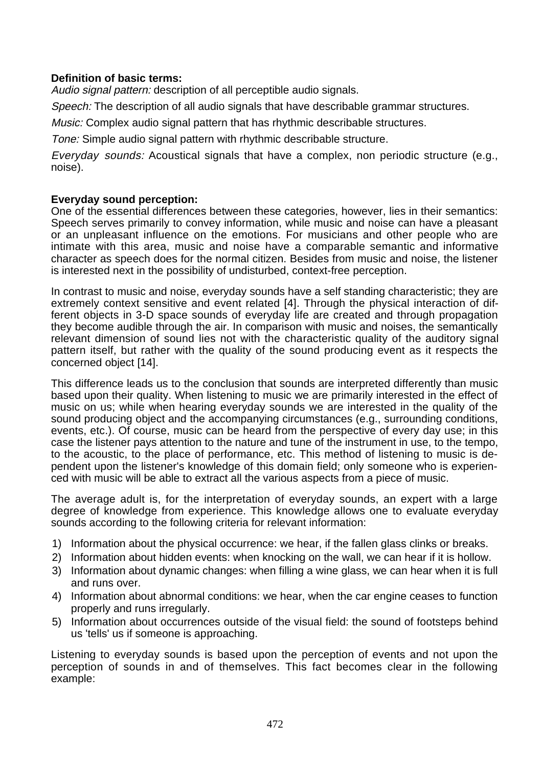## **Definition of basic terms:**

Audio signal pattern: description of all perceptible audio signals.

Speech: The description of all audio signals that have describable grammar structures.

Music: Complex audio signal pattern that has rhythmic describable structures.

Tone: Simple audio signal pattern with rhythmic describable structure.

Everyday sounds: Acoustical signals that have a complex, non periodic structure (e.g., noise).

# **Everyday sound perception:**

One of the essential differences between these categories, however, lies in their semantics: Speech serves primarily to convey information, while music and noise can have a pleasant or an unpleasant influence on the emotions. For musicians and other people who are intimate with this area, music and noise have a comparable semantic and informative character as speech does for the normal citizen. Besides from music and noise, the listener is interested next in the possibility of undisturbed, context-free perception.

In contrast to music and noise, everyday sounds have a self standing characteristic; they are extremely context sensitive and event related [4]. Through the physical interaction of different objects in 3-D space sounds of everyday life are created and through propagation they become audible through the air. In comparison with music and noises, the semantically relevant dimension of sound lies not with the characteristic quality of the auditory signal pattern itself, but rather with the quality of the sound producing event as it respects the concerned object [14].

This difference leads us to the conclusion that sounds are interpreted differently than music based upon their quality. When listening to music we are primarily interested in the effect of music on us; while when hearing everyday sounds we are interested in the quality of the sound producing object and the accompanying circumstances (e.g., surrounding conditions, events, etc.). Of course, music can be heard from the perspective of every day use; in this case the listener pays attention to the nature and tune of the instrument in use, to the tempo, to the acoustic, to the place of performance, etc. This method of listening to music is dependent upon the listener's knowledge of this domain field; only someone who is experienced with music will be able to extract all the various aspects from a piece of music.

The average adult is, for the interpretation of everyday sounds, an expert with a large degree of knowledge from experience. This knowledge allows one to evaluate everyday sounds according to the following criteria for relevant information:

- 1) Information about the physical occurrence: we hear, if the fallen glass clinks or breaks.
- 2) Information about hidden events: when knocking on the wall, we can hear if it is hollow.
- 3) Information about dynamic changes: when filling a wine glass, we can hear when it is full and runs over.
- 4) Information about abnormal conditions: we hear, when the car engine ceases to function properly and runs irregularly.
- 5) Information about occurrences outside of the visual field: the sound of footsteps behind us 'tells' us if someone is approaching.

Listening to everyday sounds is based upon the perception of events and not upon the perception of sounds in and of themselves. This fact becomes clear in the following example: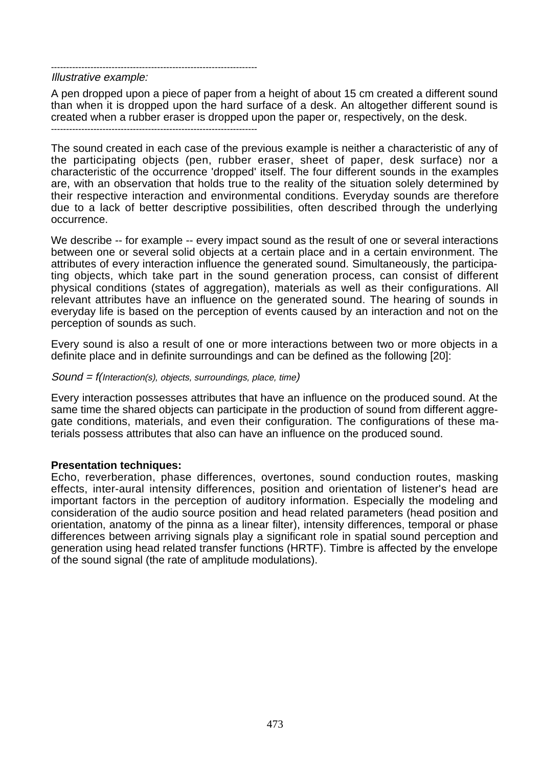--------------------------------------------------------------------

Illustrative example:

A pen dropped upon a piece of paper from a height of about 15 cm created a different sound than when it is dropped upon the hard surface of a desk. An altogether different sound is created when a rubber eraser is dropped upon the paper or, respectively, on the desk. --------------------------------------------------------------------

The sound created in each case of the previous example is neither a characteristic of any of the participating objects (pen, rubber eraser, sheet of paper, desk surface) nor a characteristic of the occurrence 'dropped' itself. The four different sounds in the examples are, with an observation that holds true to the reality of the situation solely determined by their respective interaction and environmental conditions. Everyday sounds are therefore due to a lack of better descriptive possibilities, often described through the underlying occurrence.

We describe -- for example -- every impact sound as the result of one or several interactions between one or several solid objects at a certain place and in a certain environment. The attributes of every interaction influence the generated sound. Simultaneously, the participating objects, which take part in the sound generation process, can consist of different physical conditions (states of aggregation), materials as well as their configurations. All relevant attributes have an influence on the generated sound. The hearing of sounds in everyday life is based on the perception of events caused by an interaction and not on the perception of sounds as such.

Every sound is also a result of one or more interactions between two or more objects in a definite place and in definite surroundings and can be defined as the following [20]:

#### Sound = f(Interaction(s), objects, surroundings, place, time)

Every interaction possesses attributes that have an influence on the produced sound. At the same time the shared objects can participate in the production of sound from different aggregate conditions, materials, and even their configuration. The configurations of these materials possess attributes that also can have an influence on the produced sound.

#### **Presentation techniques:**

Echo, reverberation, phase differences, overtones, sound conduction routes, masking effects, inter-aural intensity differences, position and orientation of listener's head are important factors in the perception of auditory information. Especially the modeling and consideration of the audio source position and head related parameters (head position and orientation, anatomy of the pinna as a linear filter), intensity differences, temporal or phase differences between arriving signals play a significant role in spatial sound perception and generation using head related transfer functions (HRTF). Timbre is affected by the envelope of the sound signal (the rate of amplitude modulations).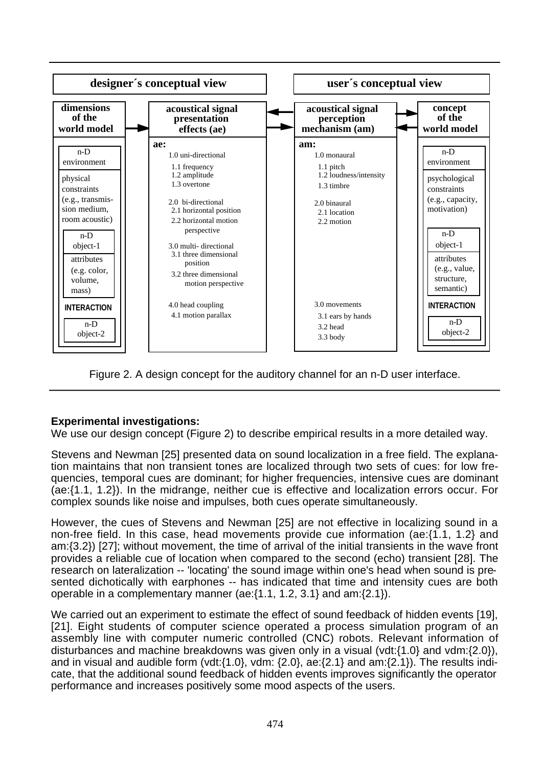

Figure 2. A design concept for the auditory channel for an n-D user interface.

# **Experimental investigations:**

We use our design concept (Figure 2) to describe empirical results in a more detailed way.

Stevens and Newman [25] presented data on sound localization in a free field. The explanation maintains that non transient tones are localized through two sets of cues: for low frequencies, temporal cues are dominant; for higher frequencies, intensive cues are dominant (ae:{1.1, 1.2}). In the midrange, neither cue is effective and localization errors occur. For complex sounds like noise and impulses, both cues operate simultaneously.

However, the cues of Stevens and Newman [25] are not effective in localizing sound in a non-free field. In this case, head movements provide cue information (ae:{1.1, 1.2} and am:{3.2}) [27]; without movement, the time of arrival of the initial transients in the wave front provides a reliable cue of location when compared to the second (echo) transient [28]. The research on lateralization -- 'locating' the sound image within one's head when sound is presented dichotically with earphones -- has indicated that time and intensity cues are both operable in a complementary manner (ae:{1.1, 1.2, 3.1} and am:{2.1}).

We carried out an experiment to estimate the effect of sound feedback of hidden events [19], [21]. Eight students of computer science operated a process simulation program of an assembly line with computer numeric controlled (CNC) robots. Relevant information of disturbances and machine breakdowns was given only in a visual (vdt:{1.0} and vdm:{2.0}), and in visual and audible form (vdt:{1.0}, vdm: {2.0}, ae:{2.1} and am:{2.1}). The results indicate, that the additional sound feedback of hidden events improves significantly the operator performance and increases positively some mood aspects of the users.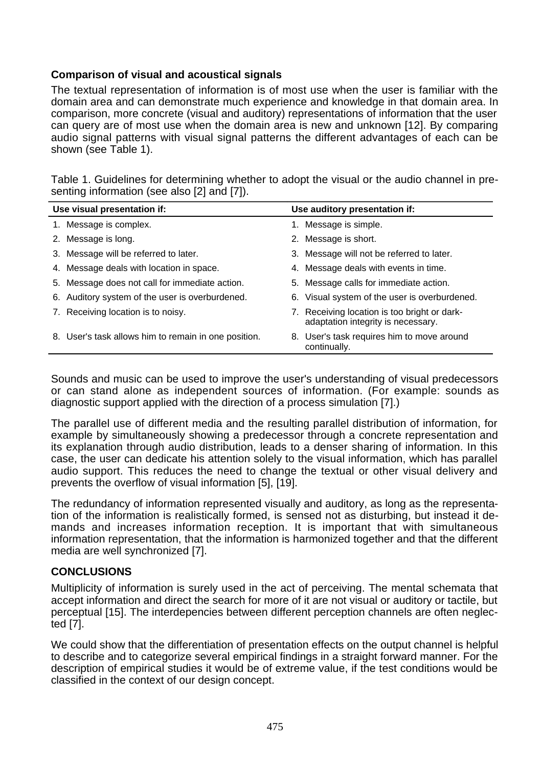# **Comparison of visual and acoustical signals**

The textual representation of information is of most use when the user is familiar with the domain area and can demonstrate much experience and knowledge in that domain area. In comparison, more concrete (visual and auditory) representations of information that the user can query are of most use when the domain area is new and unknown [12]. By comparing audio signal patterns with visual signal patterns the different advantages of each can be shown (see Table 1).

Table 1. Guidelines for determining whether to adopt the visual or the audio channel in presenting information (see also [2] and [7]).

| Use visual presentation if: |                                                      |    | Use auditory presentation if:                                                   |  |
|-----------------------------|------------------------------------------------------|----|---------------------------------------------------------------------------------|--|
|                             | 1. Message is complex.                               |    | Message is simple.                                                              |  |
| 2.                          | Message is long.                                     | 2. | Message is short.                                                               |  |
|                             | 3. Message will be referred to later.                |    | 3. Message will not be referred to later.                                       |  |
|                             | 4. Message deals with location in space.             |    | 4. Message deals with events in time.                                           |  |
|                             | 5. Message does not call for immediate action.       |    | 5. Message calls for immediate action.                                          |  |
|                             | 6. Auditory system of the user is overburdened.      |    | 6. Visual system of the user is overburdened.                                   |  |
|                             | 7. Receiving location is to noisy.                   |    | Receiving location is too bright or dark-<br>adaptation integrity is necessary. |  |
|                             | 8. User's task allows him to remain in one position. |    | 8. User's task requires him to move around<br>continually.                      |  |

Sounds and music can be used to improve the user's understanding of visual predecessors or can stand alone as independent sources of information. (For example: sounds as diagnostic support applied with the direction of a process simulation [7].)

The parallel use of different media and the resulting parallel distribution of information, for example by simultaneously showing a predecessor through a concrete representation and its explanation through audio distribution, leads to a denser sharing of information. In this case, the user can dedicate his attention solely to the visual information, which has parallel audio support. This reduces the need to change the textual or other visual delivery and prevents the overflow of visual information [5], [19].

The redundancy of information represented visually and auditory, as long as the representation of the information is realistically formed, is sensed not as disturbing, but instead it demands and increases information reception. It is important that with simultaneous information representation, that the information is harmonized together and that the different media are well synchronized [7].

## **CONCLUSIONS**

Multiplicity of information is surely used in the act of perceiving. The mental schemata that accept information and direct the search for more of it are not visual or auditory or tactile, but perceptual [15]. The interdepencies between different perception channels are often neglected [7].

We could show that the differentiation of presentation effects on the output channel is helpful to describe and to categorize several empirical findings in a straight forward manner. For the description of empirical studies it would be of extreme value, if the test conditions would be classified in the context of our design concept.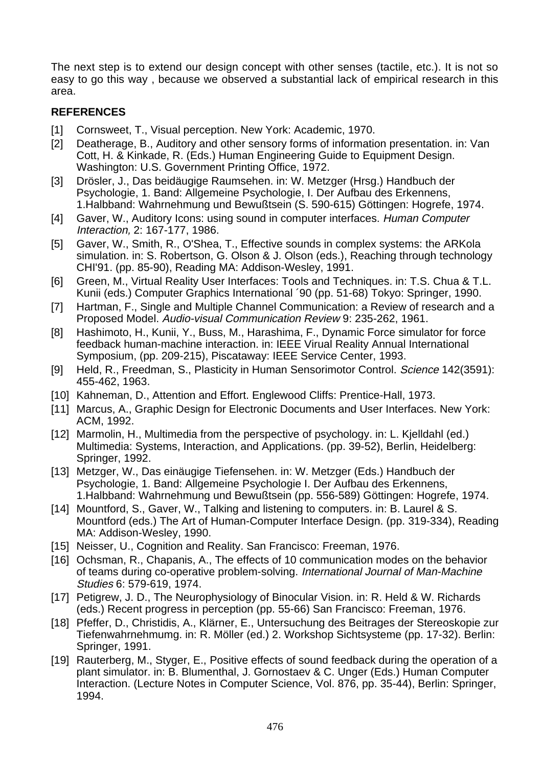The next step is to extend our design concept with other senses (tactile, etc.). It is not so easy to go this way , because we observed a substantial lack of empirical research in this area.

# **REFERENCES**

- [1] Cornsweet, T., Visual perception. New York: Academic, 1970.
- [2] Deatherage, B., Auditory and other sensory forms of information presentation. in: Van Cott, H. & Kinkade, R. (Eds.) Human Engineering Guide to Equipment Design. Washington: U.S. Government Printing Office, 1972.
- [3] Drösler, J., Das beidäugige Raumsehen. in: W. Metzger (Hrsg.) Handbuch der Psychologie, 1. Band: Allgemeine Psychologie, I. Der Aufbau des Erkennens, 1.Halbband: Wahrnehmung und Bewußtsein (S. 590-615) Göttingen: Hogrefe, 1974.
- [4] Gaver, W., Auditory Icons: using sound in computer interfaces. Human Computer Interaction, 2: 167-177, 1986.
- [5] Gaver, W., Smith, R., O'Shea, T., Effective sounds in complex systems: the ARKola simulation. in: S. Robertson, G. Olson & J. Olson (eds.), Reaching through technology CHI'91. (pp. 85-90), Reading MA: Addison-Wesley, 1991.
- [6] Green, M., Virtual Reality User Interfaces: Tools and Techniques. in: T.S. Chua & T.L. Kunii (eds.) Computer Graphics International ´90 (pp. 51-68) Tokyo: Springer, 1990.
- [7] Hartman, F., Single and Multiple Channel Communication: a Review of research and a Proposed Model. Audio-visual Communication Review 9: 235-262, 1961.
- [8] Hashimoto, H., Kunii, Y., Buss, M., Harashima, F., Dynamic Force simulator for force feedback human-machine interaction. in: IEEE Virual Reality Annual International Symposium, (pp. 209-215), Piscataway: IEEE Service Center, 1993.
- [9] Held, R., Freedman, S., Plasticity in Human Sensorimotor Control. Science 142(3591): 455-462, 1963.
- [10] Kahneman, D., Attention and Effort. Englewood Cliffs: Prentice-Hall, 1973.
- [11] Marcus, A., Graphic Design for Electronic Documents and User Interfaces. New York: ACM, 1992.
- [12] Marmolin, H., Multimedia from the perspective of psychology. in: L. Kjelldahl (ed.) Multimedia: Systems, Interaction, and Applications. (pp. 39-52), Berlin, Heidelberg: Springer, 1992.
- [13] Metzger, W., Das einäugige Tiefensehen. in: W. Metzger (Eds.) Handbuch der Psychologie, 1. Band: Allgemeine Psychologie I. Der Aufbau des Erkennens, 1.Halbband: Wahrnehmung und Bewußtsein (pp. 556-589) Göttingen: Hogrefe, 1974.
- [14] Mountford, S., Gaver, W., Talking and listening to computers. in: B. Laurel & S. Mountford (eds.) The Art of Human-Computer Interface Design. (pp. 319-334), Reading MA: Addison-Wesley, 1990.
- [15] Neisser, U., Cognition and Reality. San Francisco: Freeman, 1976.
- [16] Ochsman, R., Chapanis, A., The effects of 10 communication modes on the behavior of teams during co-operative problem-solving. International Journal of Man-Machine Studies 6: 579-619, 1974.
- [17] Petigrew, J. D., The Neurophysiology of Binocular Vision, in: R. Held & W. Richards (eds.) Recent progress in perception (pp. 55-66) San Francisco: Freeman, 1976.
- [18] Pfeffer, D., Christidis, A., Klärner, E., Untersuchung des Beitrages der Stereoskopie zur Tiefenwahrnehmumg. in: R. Möller (ed.) 2. Workshop Sichtsysteme (pp. 17-32). Berlin: Springer, 1991.
- [19] Rauterberg, M., Styger, E., Positive effects of sound feedback during the operation of a plant simulator. in: B. Blumenthal, J. Gornostaev & C. Unger (Eds.) Human Computer Interaction. (Lecture Notes in Computer Science, Vol. 876, pp. 35-44), Berlin: Springer, 1994.